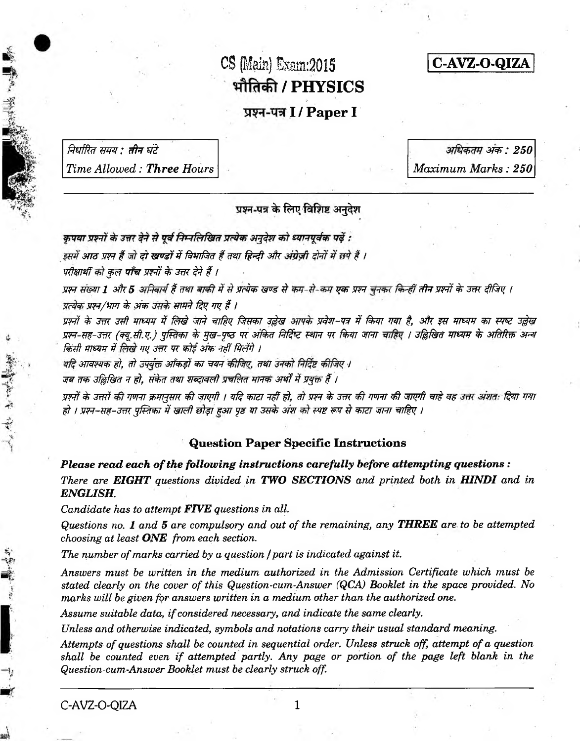# CS (Main) *Exam:2015* **/ PHYSICS**

**C - A V Z - O - Q I Z A**

## प्रश्न-पत्र **I** / Paper I

*निर्धारित समय : तीन घंटे Time Allowed: Three Hours*

*37&: 250 Maximum Marks: 250*

प्रश्न-पत्र के लिए विशिष्ट अनुदेश

कपया प्रश्नों के उत्तर देने से पूर्व निम्नलिखित प्रत्येक अनुदेश को ध्यानपूर्वक पढ़ें :

इसमें आठ प्रश्न हैं जो **दो खण्डों में** विभाजित हैं तथा हिन्दी और अंग्रेज़ी दोनों में छपे हैं ।

*परीक्षार्थी को कुल पाँच प्रश्नों के उत्तर देने हैं ।* 

प्रश्न संख्या 1 और 5 अनिवार्य हैं तथा बाकी में से प्रत्येक खण्ड से कम-से-कम एक प्रश्न चनकर किन्हीं तीन प्रश्नों के उत्तर दीजिए । *y*त्येक प्रश्न/भाग के अंक उसके सामने दिए गए हैं ।

*w rf & im ztff w m \$ f^ni wti w f& ftm m 3\$w x& r-w* **#** *fa n* **w** *t &k w m m* **w ? w** *3§w w r-w -^ m (?% .& ?.) yf&i\*bi \$> \$w -ytz w sffa r ftfife;* **? w** *w fa n w n i* **5 @ ^ f** *m m & 37M w sf^r किसी माध्यम में लिखे गए उत्तर पर कोई अंक नहीं मिलेंगे ।* 

यदि आवश्यक हो, तो उपर्युक्त आँकडों का चयन कीजिए, तथा उनको निर्दिष्ट कीजिए ।

जब तक उल्लिखित न हो. संकेत तथा शब्दावली प्रचलित मानक अर्थों में प्रयुक्त हैं ।

*w ft & im f w r t&w jm \*& w ^ff / y ftw zrw ifit, <rf w r & 3m rff nmr & m pff* **\*77#** *w -fan* **w** *if 1 w f-m -3 fn % f\$m 4 ®7rff wf^Tjtw yw m* 3**^** *sfw ft? m d \*mzr w rt m f&* **/**

#### **Question Paper Specific Instructions**

*Please read each of the following instructions carefully before attempting questions : There are EIGHT questions divided in TWO SECTIONS and printed both in HINDI and in ENGLISH.*

*Candidate has to attempt FIVE questions in all*.

*Questions no. 1 and 5 are compulsory and out of the remaining, any THREE are to be attempted choosing at least ONE from each section.*

*The number of marks carried by a question /part is indicated against it.*

*Answers must be written in the medium authorized in the Admission Certificate which must be stated clearly on the cover of this Question-cum-Answer (QCA) Booklet in the space provided. No marks will be given for answers written in a medium other than the authorized one.*

*Assume suitable data, if considered necessary, and indicate the same clearly.*

*Unless and otherwise indicated, symbols and notations carry their usual standard meaning.*

*Attempts of questions shall be counted in sequential order. Unless struck off, attempt of a question shall be counted even if attempted partly. Any page or portion of the page left blank in the Question-cum-Answer Booklet must be clearly struck off.*

人名德 出版

**British Street**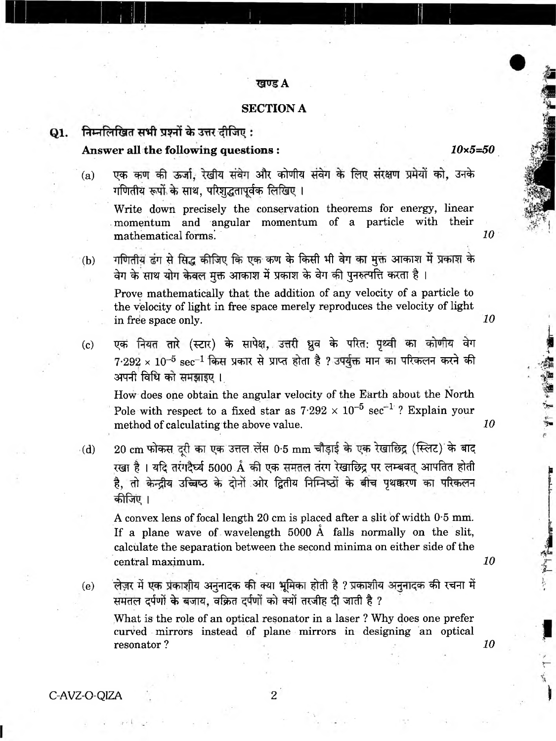#### **A**

### **SECTION A**

#### निम्नलिखित सभी प्रश्नों के उत्तर दीजिए:  $Q1.$

# **Answer all the following questions :** *10x5=50*

(a) एक कण की ऊर्जा, रेखीय संवेग और कोणीय संवेग के लिए संरक्षण प्रमेयों को, उनके गणितीय रूपों के साथ, परिशुद्धतापूर्वक लिखिए।

Write down precisely the conservation theorems for energy, linear momentum and angular momentum of a particle with their mathematical forms. *10* 

(b) गणितीय ढंग से सिद्ध कीजिए कि एक कण के किसी भी वेग का मुक्त आकाश में प्रकाश के वेग के साथ योग केवल मुक्त आकाश में प्रकाश के वेग की पुनरुत्पत्ति करता है।

Prove mathematically that the addition of any velocity of a particle to the velocity of light in free space merely reproduces the velocity of light in free space only. *10*

(c) एक नियत तारे (स्टार) के सापेक्ष, उत्तरी ध्रुव के परित: पृथ्वी का कोणीय वेग  $7.292 \times 10^{-5}$  sec $^{-1}$  किस प्रकार से प्राप्त होता है ? उपर्युक्त मान का परिकलन करने की अपनी विधि को समझाइए।

How does one obtain the angular velocity of the Earth about the North Pole with respect to a fixed star as  $7.292 \times 10^{-5}$  sec<sup>-1</sup>? Explain your method of calculating the above value. **10** 

 $\cdot$ (d)  $\quad$  20 cm फोकस दूरी का एक उत्तल लेंस 0-5 mm चौड़ाई के एक रेखाछिद्र (स्लिट) के बाद रखा है। यदि तरंगदैर्घ्य 5000 Å की एक समतल तरंग रेखाछिद्र पर लम्बवत् आपतित होती है, तो केन्द्रीय उच्चिष्ठ के दोनों ओर द्वितीय निम्निष्ठों के बीच पृथक्करण का परिकलन कीजिए ।

A convex lens of focal length 20 cm is placed after a slit of width 0\*5 mm. o If a plane wave of wavelength 5000 A falls normally on the slit, calculate the separation between the second minima on either side of the central maximum. *10*

(e) लेज़र में एक प्रकाशीय अनुनादक की क्या भूमिका होती है ? प्रकाशीय अनुनादक की रचना में समतल दर्पणों के बजाय, वक्रित दर्पणों को क्यों तरजीह दी जाती है ? What is the role of an optical resonator in a laser ? Why does one prefer curved mirrors instead of plane mirrors in designing an optical

resonator ? *10*

大学 (大学) 海道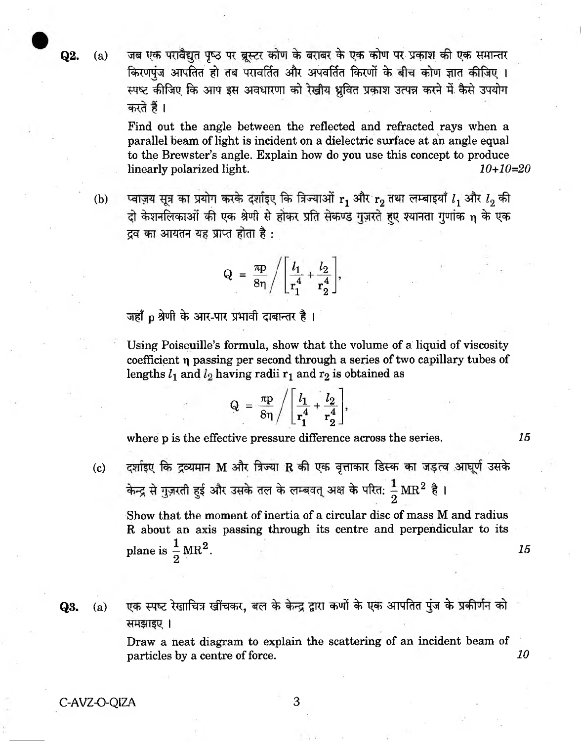Q2. (a) जब एक परावैद्यत पृष्ठ पर ब्रस्टर कोण के बराबर के एक कोण पर प्रकाश की एक समान्तर किरणपुंज आपतित हो तब परावर्तित और अपवर्तित किरणों के बीच कोण ज्ञात कीजिए । स्पष्ट कीजिए कि आप इस अवधारणा को रेखीय ध्रवित प्रकाश उत्पन्न करने में कैसे उपयोग करते हैं।

> Find out the angle between the reflected and refracted rays when a parallel beam of light is incident on a dielectric surface at an angle equal to the Brewster's angle. Explain how do you use this concept to produce linearly polarized light. *10+10=20*

(b) प्वाज़य सूत्र का प्रयोग करके दर्शाइए कि त्रिज्याओं  $r_1$  और  $r_2$  तथा लम्बाइयाँ  $l_1$  और  $l_2$  की दो केशनलिकाओं की एक श्रेणी से होकर प्रति सेकण्ड गुज़रते हुए श्यानता गुणांक n के एक 55 3TPRR 5TM t : .

$$
Q = \frac{\pi p}{8\eta} / \left[ \frac{l_1}{r_1^4} + \frac{l_2}{r_2^4} \right],
$$

जहाँ p श्रेणी के आर-पार प्रभावी दाबान्तर है।

Using Poiseuille's formula, show that the volume of a liquid of viscosity coefficient *r\* passing per second through a series of two capillary tubes of lengths  $l_1$  and  $l_2$  having radii  $r_1$  and  $r_2$  is obtained as

$$
Q = \frac{\pi p}{8\eta} / \left[ \frac{l_1}{r_1^4} + \frac{l_2}{r_2^4} \right],
$$

where p is the effective pressure difference across the series. **15** 

(c) दर्शाइए कि द्रव्यमान M और त्रिज्या R की एक वृत्ताकार डिस्क का जड़त्व आघूर्ण उसके हुई और उसके तल के लम्बवत् अक्ष के परित:  $\frac{1}{6} \, \text{MR}^2$  है । 2

Show that the moment of inertia of a circular disc of mass M and radius R about an axis passing through its centre and perpendicular to its plane is  $\frac{1}{2}MR^2$ . *15* 

**Q3.** (a) एक स्पष्ट रेखाचित्र खींचकर, बल के केन्द्र द्वारा कणों के एक आपतित पुंज के प्रकीर्णन को समझाइए ।

> Draw a neat diagram to explain the scattering of an incident beam of particles by a centre of force. **10**

C-AVZ-O-QIZA 3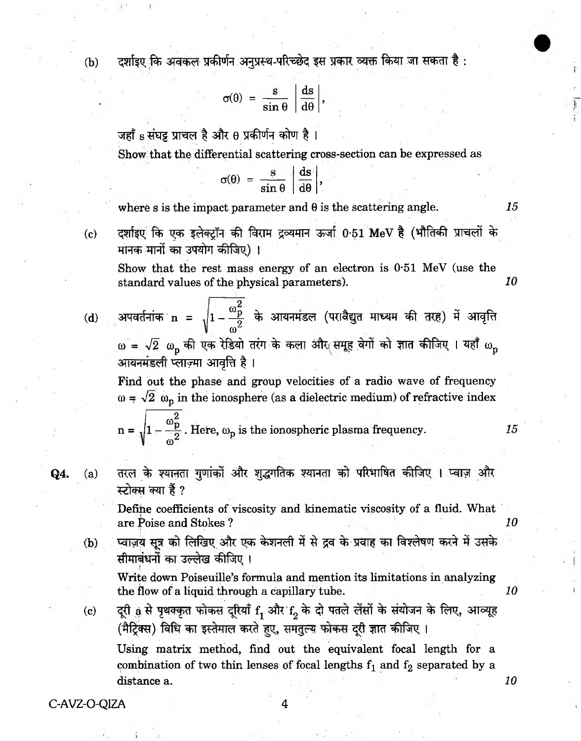(b) व्यंशाहर कि अवकल प्रकीर्णन अनुप्रस्थ-परिच्छेद इस प्रकार व्यक्त किया जा सकता है:

$$
\sigma(\theta) = \frac{s}{\sin \theta} \left| \frac{ds}{d\theta} \right|,
$$

जहाँ  ${\rm s}$  संघट्ट प्राचल है और  $\rm \theta$  प्रकीर्णन कोण है ।

Show that the differential scattering cross-section can be expressed as

$$
\sigma(\theta) = \frac{s}{\sin \theta} \left| \frac{ds}{d\theta} \right|,
$$

where s is the impact parameter and  $\theta$  is the scattering angle.  $15$ 

(c) दर्शाइए कि एक इलेक्ट्रॉन की विराम द्रव्यमान ऊर्जा 0-51 MeV है (भौतिकी प्राचलों के मानक मानों का उपयोग कीजिए)।

Show that the rest mass energy of an electron is  $0.51$  MeV (use the standard values of the physical parameters). *10*

(d) 3TC3<fafa n = *J* 1 -^ | - % 31RRWI (M<l^d iqTWT <\$t 3 3J1^tT  $\omega^2$  $\omega = \sqrt{2}$   $\omega_{\rm p}$  की एक रेडियो तरंग के कला और समूह वेगों को ज्ञात कीजिए । यहाँ  $\omega_{\rm n}$ आयनमंडली प्लाज़्मा आवृत्ति है।

Find out the phase and group velocities of a radio wave of frequency  $\omega = \sqrt{2} \omega_{\rm p}$  in the ionosphere (as a dielectric medium) of refractive index

 $n =$  $\omega^2_{\mathbf{p}}$  $1 - \frac{P}{2}$ . Here,  $\omega_{\rm p}$  is the ionospheric plasma frequency. *15*  $\omega^2$ 

**Q4.** (a) तरल के श्यानता गुणांकों और शुद्धगतिक श्यानता को परिभाषित कीजिए । प्वाज़ और स्टोक्स क्या हैं ?

> Define coefficients of viscosity and kinematic viscosity of a fluid. What are Poise and Stokes ? *10*

(b) प्वाज़य सूत्र को लिखिए और एक केशनली में से द्रव के प्रवाह का विश्लेषण करने में उसके सीमाबंधनों का उल्लेख कीजिए ।

Write down Poiseuille's formula and mention its limitations in analyzing the flow of a liquid through a capillary tube. *10*

<span id="page-3-0"></span>(c) a दूरी <sub>से</sub> से पृथक्कृत फोकस दूरियाँ f<sub>1</sub> और f<sub>2</sub> के दो पतले लेंसों के संयोजन के लिए, आव्यूह (मैट्रिक्स) विधि का इस्तेमाल करते हुए, समतुल्य फोकस दूरी ज्ञात कीजिए । Using matrix method, find out the equivalent focal length for a combination of two thin lenses of focal lengths  $f_1$  and  $f_2$  separated by a distance a. **10** and 10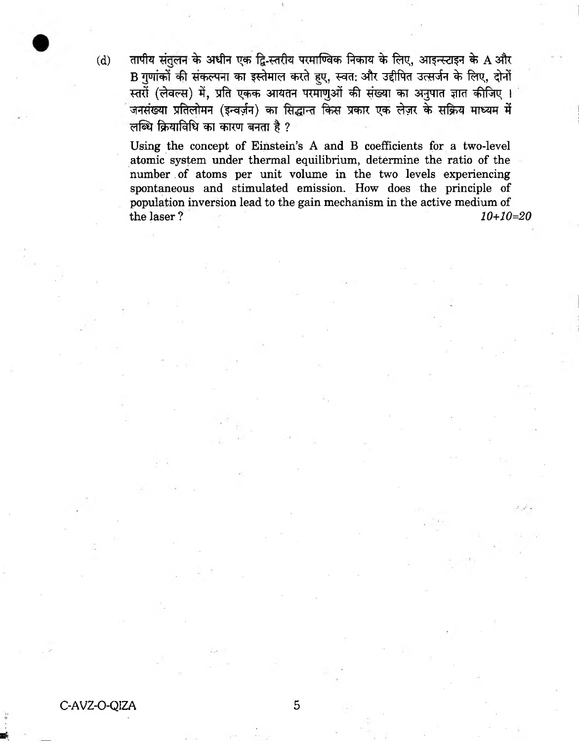$(d)$  and tide time the vertical vertice with the fandal mean of  $A$  and  $A$ B गुणांकों की संकल्पना का इस्तेमाल करते हुए, स्वत: और उद्दीपित उत्सर्जन के लिए, दोनों स्तरों (लेवल्स) में, प्रति एकक आयतन परमाणुओं की संख्या का अनुपात ज्ञात कीजिए । जनसंख्या प्रतिलोमन (इन्वर्ज़न) का सिद्धान्त किस प्रकार एक लेज़र के सक्रिय माध्यम में लब्धि क्रियाविधि का कारण बनता है ?

Using the concept of Einstein's A and B coefficients for a two-level atomic system under thermal equilibrium, determine the ratio of the number of atoms per unit volume in the two levels experiencing spontaneous and stimulated emission. How does the principle of population inversion lead to the gain mechanism in the active medium of the laser? *10+10=20*

C-AVZ-O-QIZA 5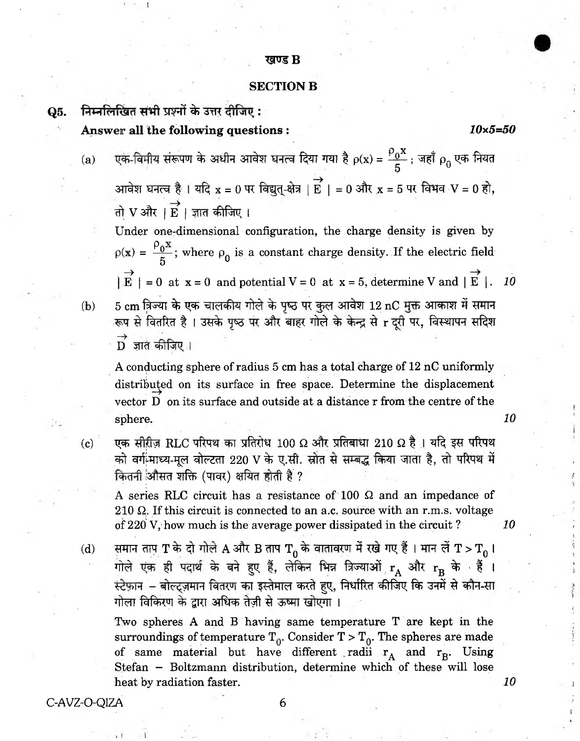#### खण्ड B

#### **SECTION B**

Q5. निम्नलिखित सभी प्रश्नों के उत्तर दीजिए : ' **Answer all the following questions :** *10x5=50*

- $\rho_0$ x (a) एक-विमीय सरूपण के अधीन आवेश घनत्व दियों गया है  $\rho(\mathrm{x}) = \frac{10}{\pi}$  ; जहां  $\rho_\alpha$  एक नियत  $5$   $\sim$  $\rightarrow$  $S$ जावेश घनत्व है । याद  ${\bf x} = {\bf 0}$  पर ावघुत्-क्षेत्र | E | = 0 अं।र  ${\bf x}$  = 5 पर ावमव $\cdot {\bf v} = {\bf 0}$  है। तो  $V$  और |  $\overrightarrow{E}$  | ज्ञात कीजिए ।
	- Under one-dimensional configuration, the charge density is given by  $p(x) = \frac{p_0 x}{x}$ ; where  $p_0$  is a constant charge density. If the electric field 5  $\rightarrow$  $E$  | = 0 at  $x = 0$  and potential  $V = 0$  at  $x = 5$ , determine V and | E |. *10*
- (b)  $-5\ {\rm cm}$  त्रिज्या के एक चालकीय गोले के पृष्ठ पर कुल आवेश  $12\ {\rm nC}$  मुक्त आकाश में समान रूप से वितरित है। उसके पृष्ठ पर और बाहर गोले के केन्द्र से r दूरी पर, विस्थापन सदिश - D ज्ञात काजिए ।

A conducting sphere of radius 5 cm has a total charge of  $12$  nC uniformly distributed on its surface in free space. Determine the displacement vector D on its surface and outside at a distance r from the centre of the sphere. **10** 

(c) एक सीरीज़ RLC परिपथ का प्रतिरोध 100 Ω और प्रतिबाधा 210 Ω है । यदि इस परिपथ को वर्ग-माध्य-मूल वोल्टता 220 V के ए.सी. स्रोत से सम्बद्ध किया जाता है, तो परिपथ में कितनी औसत शक्ति (पावर) क्षयित होती है ?

A series RLC circuit has a resistance of 100 *Q.* and an impedance of 210  $\Omega$ . If this circuit is connected to an a.c. source with an r.m.s. voltage of 220 V, how much is the average power dissipated in the circuit ? *10*

(d) समान ताप T के दो गोले A और B ताप T<sub>0</sub> के बाताबरण में रखे गए हैं । मान लें T > T<sub>0</sub> I  $\hat{\mathbf{r}}$ गोले एक ही पदार्थ के बने हुए हैं, लेकिन भिन्न त्रिज्याओं  $\mathbf{r}_{\mathbf{A}}$  और  $\mathbf{r}_{\mathbf{B}}$  के सैं । स्टेफ़ान – बोल्ट्ज़मान वितरण का इस्तेमाल करते हुए, निर्धारित कीजिए कि उनमें से कौन-सा गोला विकिरण के द्वारा अधिक तेज़ी से ऊष्मा खोएगा।

Two spheres A and B having same temperature T are kept in the surroundings of temperature  $T_0$ . Consider  $T > T_0$ . The spheres are made of same material but have different radii  $r_A$  and  $r_B$ . Using Stefan - Boltzmann distribution, determine which of these will lose heat by radiation faster. **10**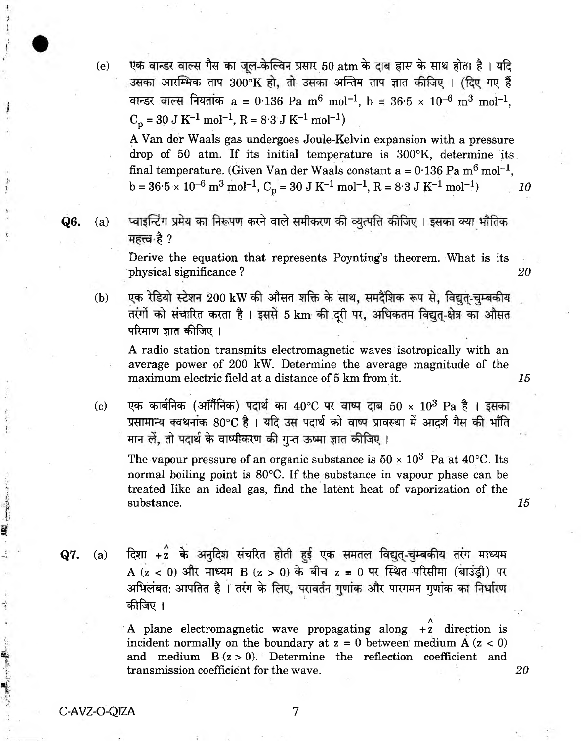(e) एक वान्डर वाल्स गैस का जूल-केल्विन प्रसार 50  $\mathrm{atm}$  के दाब ह्रास के साथ होता है । यदि उसका आरम्भिक ताप 300°K हो, तो उसका अन्तिम ताप ज्ञात कीजिए । (दिए गए हैं वान्डर वाल्स नियतांक a = 0.136 Pa m<sup>6</sup> mol<sup>-1</sup>, b = 36.5 x 10<sup>-6</sup> m<sup>3</sup> mol<sup>-1</sup>,  $C_p = 30$  J K<sup>-1</sup> mol<sup>-1</sup>, R = 8.3 J K<sup>-1</sup> mol<sup>-1</sup>)

A Van der Waals gas undergoes Joule-Kelvin expansion with a pressure drop of 50 atm. If its initial temperature is 300°K, determine its final temperature. (Given Van der Waals constant a =  $0.136$  Pa m<sup>6</sup> mol<sup>-1</sup>,  $b = 36.5 \times 10^{-6} \text{ m}^3 \text{ mol}^{-1}$ ,  $C_p = 30 \text{ J K}^{-1} \text{ mol}^{-1}$ ,  $R = 8.3 \text{ J K}^{-1} \text{ mol}^{-1}$  *10* 

<span id="page-6-0"></span> $Q6.$   $\quad$  (a)  $\quad$  प्वाइन्टिंग प्रमेय का निरूपण करने वाले समीकरण की व्युत्पत्ति कीजिए । इसका क्या भौतिक महत्त्व है ?

> Derive the equation that represents Poynting's theorem. What is its physical significance ? *20*

(b) एक रेडियो स्टेशन 200 kW की औसत शक्ति के साथ, समदैशिक रूप से, विद्युत-चुम्बकीय तरंगों को संचारित करता है। इससे 5 km की दूरी पर, अधिकतम विद्युत्-क्षेत्र का औसत परिमाण ज्ञात कीजिए ।

A radio station transmits electromagnetic waves isotropically with an average power of 200 kW. Determine the average magnitude of the maximum electric field at a distance of 5 km from it. *15*

(c) पक कार्बनिक (अॉर्गैनिक) पदार्थ का  $40^{\circ}$ C पर वाष्प दाब  $50 \times 10^3$  Pa है। इसका yसामान्य क्वथनांक 80°C है । यदि उस पदार्थ को वाष्प प्रावस्था में आदर्श गैस की भाँति मान लें. तो पदार्थ के वाष्पीकरण की गुप्त ऊष्मा ज्ञात कीजिए ।

The vapour pressure of an organic substance is  $50 \times 10^3$  Pa at  $40^{\circ}$ C. Its normal boiling point is 80°C. If the substance in vapour phase can be treated like an ideal gas, find the latent heat of vaporization of the substance. *15*

- $Q7.$  (a) दिशा +2 के अनुदिश संचरित होती हुई एक समतल विद्युत्-चुम्बकीय तरंग माध्यम A (z < 0) और माध्यम B (z > 0) के बीच z = 0 पर स्थित परिसीमा (बाउड़ी) पर अभिलंबत: आपतित है । तरंग के लिए, परावर्तन गुणांक और पारगमन गुणांक का निर्धारण 'Cl pin, t ., ,
	- A plane electromagnetic wave propagating along  $+2$  direction is incident normally on the boundary at  $z = 0$  between medium  $A (z < 0)$ and medium  $B(z > 0)$ . Determine the reflection coefficient and transmission coefficient for the wave. *20*

C-AVZ-O-QIZA 7